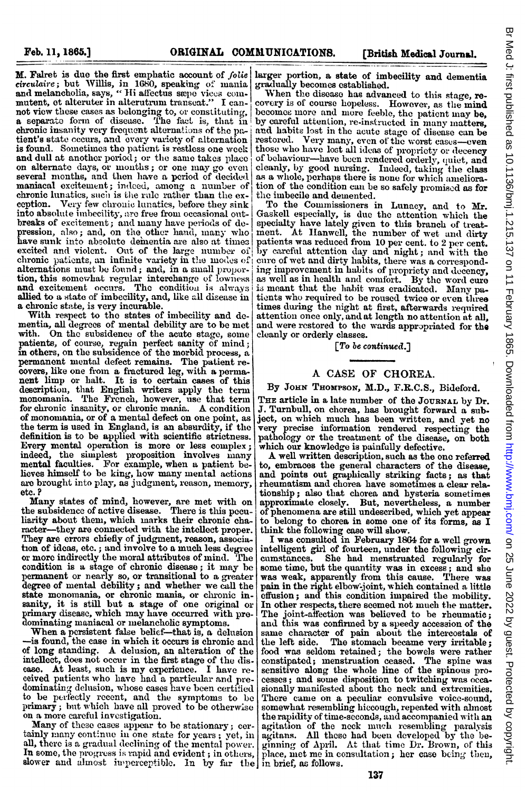M. Falret is due the first emphatic account of folie larger portion, a state of imbecility and dementia circulaire; but Willis, in 1680, speaking of mania gradually becomes established. and melancholia, says, "Hi affectus saye vices commutent, et alteruter in alterutrum transeat." I cannot view these cases as belonging to, or constituting, a separate form of disease. The fact is, that in chronic insanity very frequent alternations of the patient's state occurs, and every variety of alternation is found. Sometimes the patient is restless one week and dull at another period; or the same takes place on alternate days, or months; or one may go even several months, and then have a period of decided maniacal excitement; indeed, among a number of chronic lunatics, such is the rule rather than the exeeption. Very few chronic lunatics, before they sink into absolute imbecility, are free from occasional outbreaks of excitement; and many have periods of depression, also; and, on the other hand, many who have sunk into absolute dementia are also at times excited and violent. Out of the large number of chronic patients, an infinite variety in the modes of alternations must be found; and, in a small proportion, this somewhat regular interchange of lowness and excitement occurs. The condition is always allied to a state of imbecility, and, like all disease in a chronic state, is very incurable.

With respect to the states of imbecility and dementia, all degrees of mental debility are to be met with. On the subsidence of the acute stage, some patients, of course, regain perfect sanity of mind;<br>in others, on the subsidence of the morbid process, a permanent mental defect remains. The patient recovers, like one from a fractured leg, with a permanent limp or halt. It is to certain cases of this description, that English writers apply the term monomania. The French, however, use that term for chronic insanity, or chronic mania. A condition of monomania, or of a mental defect on one point, as the term is used in England, is an absurdity, if the definition is to be applied with scientific strictness. Every mental operation is more or less complex; indeed, the simplest proposition involves many mental faculties. For example, when a patient believes himself to be king, how many mental actions are brought into play, as judgment, reason, memory, etc.?

Many states of mind, however, are met with on the subsidence of active disease. There is this peculiarity about them, which marks their chronic character—they are connected with the intellect proper. They are crrors chiefly of judgment, reason, association of ideas, etc.; and involve to a much less degree or more indirectly the moral attributes of mind. The condition is a stage of chronic disease; it may be permanent or nearly so, or transitional to a greater degree of mental debility; and whether we call the state monomania, or chronic mania, or chronic in-<br>sanity, it is still but a stage of one original or primary disease, which may have occurred with predominating maniacal or melancholic symptoms.

When a persistent false belief-that is, a delusion -is found, the case in which it occurs is chronic and of long standing. A delusion, an alteration of the intellect, does not occur in the first stage of the discase. At least, such is my experience. I have received patients who have had a particular and predominating delusion, whose cases have been certified to be perfectly recent, and the symptoms to be primary; but which have all proved to be otherwise on a more careful investigation.

Many of these cases appear to be stationary; certainly many continue in one state for years; yet, in all, there is a gradual declining of the mental power. In some, the progress is rapid and evident ; in others, slower and almost imperceptible. In by far the in brief, as follows.

When the disease has advanced to this stage, recovery is of course hopeless. However, as the mind becomes more and more feeble, the patient may be, by careful attention, re-instructed in many matters, and habits lost in the acute stage of disease can be restored. Very many, even of the worst cases-even those who have lost all ideas of propriety or decency of behaviour-have been rendered orderly, quiet, and cleanly, by good nursing. Indeed, taking the class as a whole, perhaps there is none for which amelioration of the condition can be so safely promised as for the imbecile and demented.

To the Commissioners in Lunacy, and to Mr. Gaskell especially, is due the attention which the specialty have lately given to this branch of treat-<br>ment. At Hanwell, the number of wet and dirty patients was reduced from 10 per cent. to 2 per cent.<br>by careful attention day and night; and with the cure of wet and dirty habits, there was a corresponding improvement in habits of propriety and decency, as well as in health and comfort. By the word cure is meant that the habit was eradicated. Many patients who required to be roused twice or even three times during the night at first, afterwards required attention once only, and at length no attention at all, and were restored to the wards appropriated for the cleanly or orderly classes.

 $[$  To be continued.]

## A CASE OF CHOREA.

## By JOHN THOMPSON, M.D., F.R.C.S., Bideford.

THE article in a late number of the JOURNAL by Dr. J. Turnbull, on chorea, has brought forward a subject, on which much has been written, and yet no very precise information rendered respecting the pathology or the treatment of the disease, on both which our knowledge is painfully defective.

A well written description, such as the one referred to, embraces the general characters of the disease, and points out graphically striking facts; as that rheumatism and chorea have sometimes a clear relationship; also that chorea and hysteria sometimes approximate closely. But, nevertheless, a number of phenomena are still undescribed, which yet appear to belong to chorea in some one of its forms, as I think the following case will show.

I was consulted in February 1864 for a well grown intelligent girl of fourteen, under the following circumstances. She had menstruated regularly for some time, but the quantity was in excess; and she was weak, apparently from this cause. There was pain in the right elbow-joint, which contained a little effusion; and this condition impaired the mobility. In other respects, there seemed not much the matter. The joint-affection was believed to be rheumatic; and this was confirmed by a speedy accession of the same character of pain about the intercostals of the left side. The stomach became very irritable; food was seldom retained; the bowels were rather constipated; menstruation ceased. The spine was cesses; and some disposition to twitching was occasionally manifested about the neck and extremities. There came on a peculiar convulsive voice-sound, somewhat resembling hiccough, repeated with almost the rapidity of time-seconds, and accompanied with an agitation of the neck much resembling paralysis agitation of the neck much resembling paralysis ginning of April. At that time Dr. Brown, of this place, met me in consultation; her case being then,